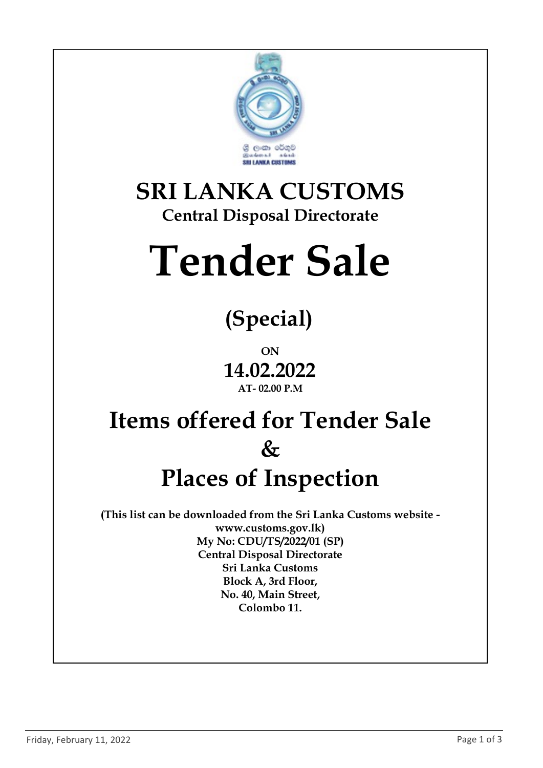

### SRI LANKA CUSTOMS Central Disposal Directorate

# Tender Sale

# (Special)

ON 14.02.2022 AT- 02.00 P.M

## Items offered for Tender Sale  $\&$ Places of Inspection

(This list can be downloaded from the Sri Lanka Customs website www.customs.gov.lk) My No: CDU/TS/2022/01 (SP) Central Disposal Directorate Sri Lanka Customs Block A, 3rd Floor, No. 40, Main Street, Colombo 11.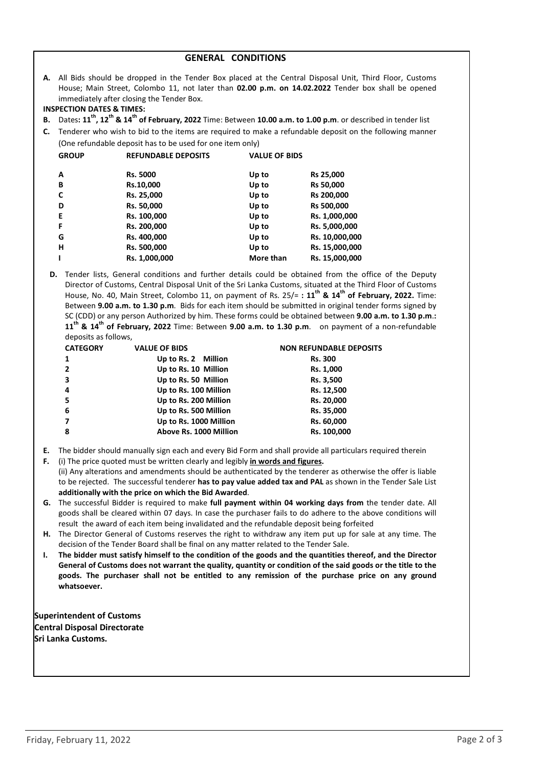#### GENERAL CONDITIONS

A. All Bids should be dropped in the Tender Box placed at the Central Disposal Unit, Third Floor, Customs House; Main Street, Colombo 11, not later than 02.00 p.m. on 14.02.2022 Tender box shall be opened immediately after closing the Tender Box.

#### INSPECTION DATES & TIMES:

- B. Dates:  $11^{th}$ ,  $12^{th}$  &  $14^{th}$  of February, 2022 Time: Between 10.00 a.m. to 1.00 p.m. or described in tender list
- C. Tenderer who wish to bid to the items are required to make a refundable deposit on the following manner (One refundable deposit has to be used for one item only)

| <b>GROUP</b> | <b>REFUNDABLE DEPOSITS</b> | <b>VALUE OF BIDS</b> |                  |
|--------------|----------------------------|----------------------|------------------|
| A            | <b>Rs. 5000</b>            | Up to                | <b>Rs 25,000</b> |
| B            | Rs.10,000                  | Up to                | Rs 50,000        |
| C            | Rs. 25,000                 | Up to                | Rs 200,000       |
| D            | Rs. 50,000                 | Up to                | Rs 500,000       |
| Е            | Rs. 100,000                | Up to                | Rs. 1,000,000    |
| F            | Rs. 200,000                | Up to                | Rs. 5,000,000    |
| G            | Rs. 400,000                | Up to                | Rs. 10,000,000   |
| н            | Rs. 500,000                | Up to                | Rs. 15,000,000   |
|              | Rs. 1,000,000              | More than            | Rs. 15,000,000   |

D. Tender lists, General conditions and further details could be obtained from the office of the Deputy Director of Customs, Central Disposal Unit of the Sri Lanka Customs, situated at the Third Floor of Customs House, No. 40, Main Street, Colombo 11, on payment of Rs.  $25/=$ :  $11^{th}$  &  $14^{th}$  of February, 2022. Time: Between 9.00 a.m. to 1.30 p.m. Bids for each item should be submitted in original tender forms signed by SC (CDD) or any person Authorized by him. These forms could be obtained between 9.00 a.m. to 1.30 p.m.:  $11^{th}$  &  $14^{th}$  of February, 2022 Time: Between 9.00 a.m. to 1.30 p.m. on payment of a non-refundable deposits as follows,

| <b>CATEGORY</b> | <b>VALUE OF BIDS</b>   | <b>NON REFUNDABLE DEPOSITS</b> |  |
|-----------------|------------------------|--------------------------------|--|
| 1               | Up to Rs. 2 Million    | <b>Rs. 300</b>                 |  |
| $\overline{2}$  | Up to Rs. 10 Million   | Rs. 1,000                      |  |
| 3               | Up to Rs. 50 Million   | Rs. 3,500                      |  |
| 4               | Up to Rs. 100 Million  | Rs. 12,500                     |  |
| 5               | Up to Rs. 200 Million  | Rs. 20,000                     |  |
| 6               | Up to Rs. 500 Million  | Rs. 35,000                     |  |
|                 | Up to Rs. 1000 Million | Rs. 60,000                     |  |
| 8               | Above Rs. 1000 Million | Rs. 100,000                    |  |

- E. The bidder should manually sign each and every Bid Form and shall provide all particulars required therein
- F. (i) The price quoted must be written clearly and legibly *in words and figures*.<br>(ii) Any alterations and amendments should be authenticated by the tenderer as otherwise the offer is liable to be rejected. The successful tenderer has to pay value added tax and PAL as shown in the Tender Sale List additionally with the price on which the Bid Awarded.
- G. The successful Bidder is required to make full payment within 04 working days from the tender date. All goods shall be cleared within 07 days. In case the purchaser fails to do adhere to the above conditions will result the award of each item being invalidated and the refundable deposit being forfeited
- H. The Director General of Customs reserves the right to withdraw any item put up for sale at any time. The decision of the Tender Board shall be final on any matter related to the Tender Sale.
- The bidder must satisfy himself to the condition of the goods and the quantities thereof, and the Director General of Customs does not warrant the quality, quantity or condition of the said goods or the title to the goods. The purchaser shall not be entitled to any remission of the purchase price on any ground whatsoever.

Superintendent of Customs Central Disposal Directorate Sri Lanka Customs.